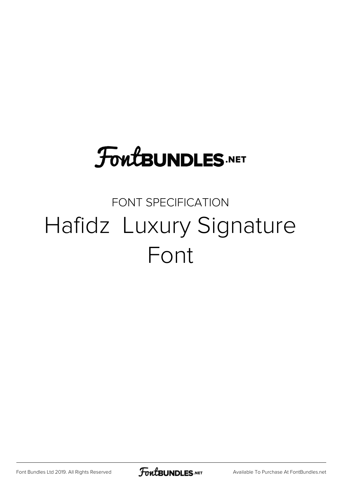# **FoutBUNDLES.NET**

## FONT SPECIFICATION Hafidz Luxury Signature Font

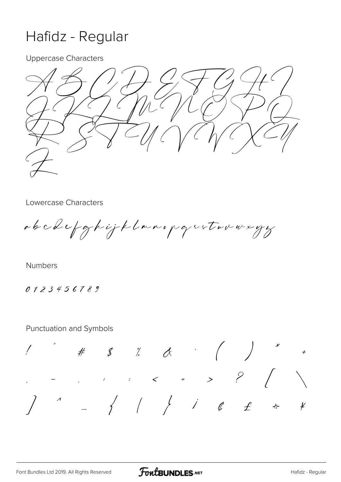## Hafidz - Regular

**Uppercase Characters** 



Lowercase Characters

abcdefghijklanopgretovnegy

Numbers

0123456789

Punctuation and Symbols

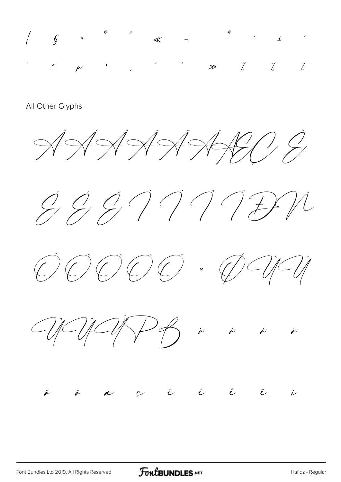

### All Other Glyphs











### $\acute{\epsilon}$  $\sim$  $\dot{\mathcal{C}}$  $\hat{c}$  $\ddot{\epsilon}$  $\ddot{\hat{z}}$  $\stackrel{\circ}{\sim}$  $\sum$  $\alpha$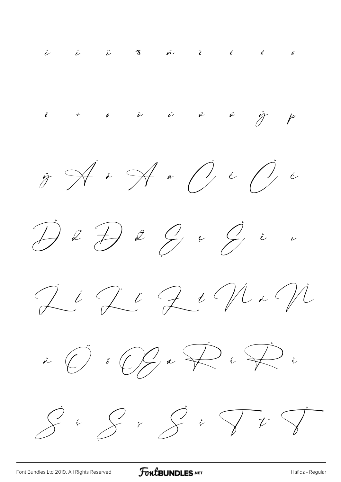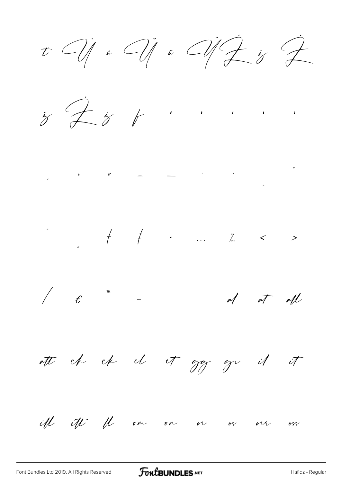$t$   $\bigcirc$   $\bigcirc$   $\bigcirc$   $\bigcirc$   $\bigcirc$   $\bigcirc$   $\bigcirc$   $\bigcirc$   $\bigcirc$   $\bigcirc$ 

 $\dot{z}$   $\overline{z}$   $\dot{z}$   $\cdots$ 

 $\frac{1}{2}$  ,  $\frac{1}{2}$  ,  $\frac{1}{2}$  ,  $\frac{1}{2}$  ,  $\frac{1}{2}$  ,  $\frac{1}{2}$  ,  $\frac{1}{2}$  ,  $\frac{1}{2}$  ,  $\frac{1}{2}$  ,  $\frac{1}{2}$  ,  $\frac{1}{2}$  ,  $\frac{1}{2}$  ,  $\frac{1}{2}$  ,  $\frac{1}{2}$  ,  $\frac{1}{2}$  ,  $\frac{1}{2}$  ,  $\frac{1}{2}$  ,  $\frac{1}{2}$  ,  $\frac{1$ 

 $\int e^{\pi x}$  -  $\int d\pi d\mu$ 

att ch ch el et gg gr il it

iff ift fl on on or or orr orr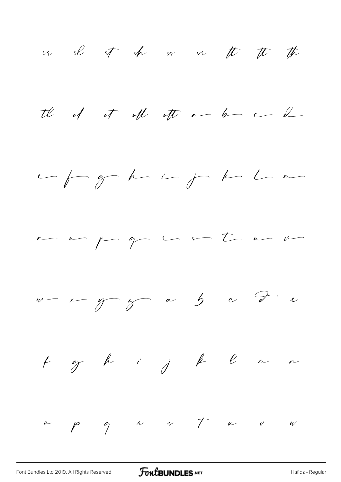